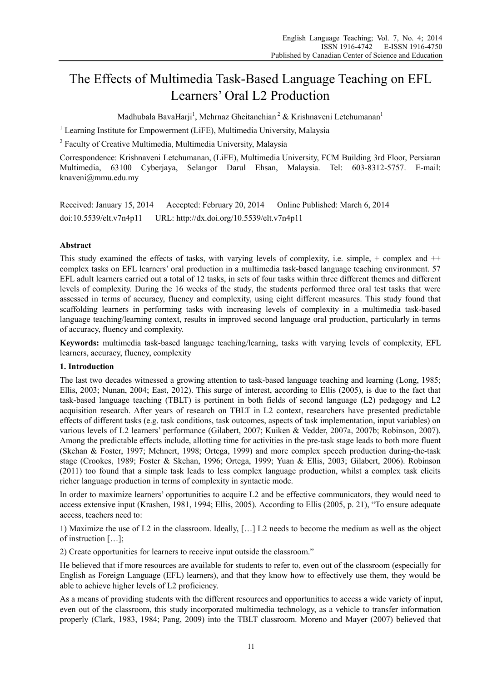# The Effects of Multimedia Task-Based Language Teaching on EFL Learners' Oral L2 Production

Madhubala BavaHarji<sup>1</sup>, Mehrnaz Gheitanchian<sup>2</sup> & Krishnaveni Letchumanan<sup>1</sup>

<sup>1</sup> Learning Institute for Empowerment (LiFE), Multimedia University, Malaysia

2 Faculty of Creative Multimedia, Multimedia University, Malaysia

Correspondence: Krishnaveni Letchumanan, (LiFE), Multimedia University, FCM Building 3rd Floor, Persiaran Multimedia, 63100 Cyberjaya, Selangor Darul Ehsan, Malaysia. Tel: 603-8312-5757. E-mail: knaveni@mmu.edu.my

Received: January 15, 2014 Accepted: February 20, 2014 Online Published: March 6, 2014 doi:10.5539/elt.v7n4p11 URL: http://dx.doi.org/10.5539/elt.v7n4p11

# **Abstract**

This study examined the effects of tasks, with varying levels of complexity, i.e. simple, + complex and ++ complex tasks on EFL learners' oral production in a multimedia task-based language teaching environment. 57 EFL adult learners carried out a total of 12 tasks, in sets of four tasks within three different themes and different levels of complexity. During the 16 weeks of the study, the students performed three oral test tasks that were assessed in terms of accuracy, fluency and complexity, using eight different measures. This study found that scaffolding learners in performing tasks with increasing levels of complexity in a multimedia task-based language teaching/learning context, results in improved second language oral production, particularly in terms of accuracy, fluency and complexity.

**Keywords:** multimedia task-based language teaching/learning, tasks with varying levels of complexity, EFL learners, accuracy, fluency, complexity

# **1. Introduction**

The last two decades witnessed a growing attention to task-based language teaching and learning (Long, 1985; Ellis, 2003; Nunan, 2004; East, 2012). This surge of interest, according to Ellis (2005), is due to the fact that task-based language teaching (TBLT) is pertinent in both fields of second language (L2) pedagogy and L2 acquisition research. After years of research on TBLT in L2 context, researchers have presented predictable effects of different tasks (e.g. task conditions, task outcomes, aspects of task implementation, input variables) on various levels of L2 learners' performance (Gilabert, 2007; Kuiken & Vedder, 2007a, 2007b; Robinson, 2007). Among the predictable effects include, allotting time for activities in the pre-task stage leads to both more fluent (Skehan & Foster, 1997; Mehnert, 1998; Ortega, 1999) and more complex speech production during-the-task stage (Crookes, 1989; Foster & Skehan, 1996; Ortega, 1999; Yuan & Ellis, 2003; Gilabert, 2006). Robinson (2011) too found that a simple task leads to less complex language production, whilst a complex task elicits richer language production in terms of complexity in syntactic mode.

In order to maximize learners' opportunities to acquire L2 and be effective communicators, they would need to access extensive input (Krashen, 1981, 1994; Ellis, 2005). According to Ellis (2005, p. 21), "To ensure adequate access, teachers need to:

1) Maximize the use of L2 in the classroom. Ideally, […] L2 needs to become the medium as well as the object of instruction […];

2) Create opportunities for learners to receive input outside the classroom."

He believed that if more resources are available for students to refer to, even out of the classroom (especially for English as Foreign Language (EFL) learners), and that they know how to effectively use them, they would be able to achieve higher levels of L2 proficiency.

As a means of providing students with the different resources and opportunities to access a wide variety of input, even out of the classroom, this study incorporated multimedia technology, as a vehicle to transfer information properly (Clark, 1983, 1984; Pang, 2009) into the TBLT classroom. Moreno and Mayer (2007) believed that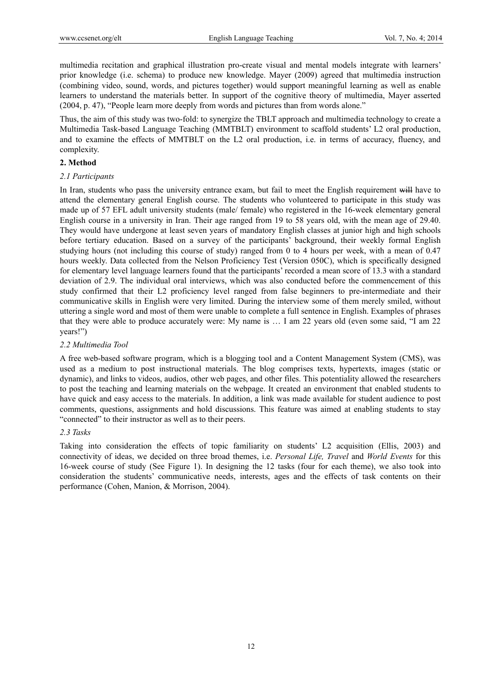multimedia recitation and graphical illustration pro-create visual and mental models integrate with learners' prior knowledge (i.e. schema) to produce new knowledge. Mayer (2009) agreed that multimedia instruction (combining video, sound, words, and pictures together) would support meaningful learning as well as enable learners to understand the materials better. In support of the cognitive theory of multimedia, Mayer asserted (2004, p. 47), "People learn more deeply from words and pictures than from words alone."

Thus, the aim of this study was two-fold: to synergize the TBLT approach and multimedia technology to create a Multimedia Task-based Language Teaching (MMTBLT) environment to scaffold students' L2 oral production, and to examine the effects of MMTBLT on the L2 oral production, i.e. in terms of accuracy, fluency, and complexity.

## **2. Method**

#### *2.1 Participants*

In Iran, students who pass the university entrance exam, but fail to meet the English requirement will have to attend the elementary general English course. The students who volunteered to participate in this study was made up of 57 EFL adult university students (male/ female) who registered in the 16-week elementary general English course in a university in Iran. Their age ranged from 19 to 58 years old, with the mean age of 29.40. They would have undergone at least seven years of mandatory English classes at junior high and high schools before tertiary education. Based on a survey of the participants' background, their weekly formal English studying hours (not including this course of study) ranged from 0 to 4 hours per week, with a mean of 0.47 hours weekly. Data collected from the Nelson Proficiency Test (Version 050C), which is specifically designed for elementary level language learners found that the participants' recorded a mean score of 13.3 with a standard deviation of 2.9. The individual oral interviews, which was also conducted before the commencement of this study confirmed that their L2 proficiency level ranged from false beginners to pre-intermediate and their communicative skills in English were very limited. During the interview some of them merely smiled, without uttering a single word and most of them were unable to complete a full sentence in English. Examples of phrases that they were able to produce accurately were: My name is … I am 22 years old (even some said, "I am 22 years!")

# *2.2 Multimedia Tool*

A free web-based software program, which is a blogging tool and a Content Management System (CMS), was used as a medium to post instructional materials. The blog comprises texts, hypertexts, images (static or dynamic), and links to videos, audios, other web pages, and other files. This potentiality allowed the researchers to post the teaching and learning materials on the webpage. It created an environment that enabled students to have quick and easy access to the materials. In addition, a link was made available for student audience to post comments, questions, assignments and hold discussions. This feature was aimed at enabling students to stay "connected" to their instructor as well as to their peers.

#### *2.3 Tasks*

Taking into consideration the effects of topic familiarity on students' L2 acquisition (Ellis, 2003) and connectivity of ideas, we decided on three broad themes, i.e. *Personal Life, Travel* and *World Events* for this 16-week course of study (See Figure 1). In designing the 12 tasks (four for each theme), we also took into consideration the students' communicative needs, interests, ages and the effects of task contents on their performance (Cohen, Manion, & Morrison, 2004).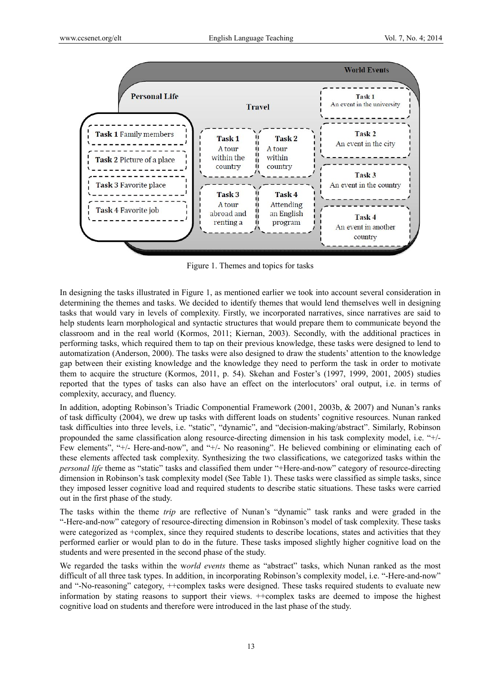

Figure 1. Themes and topics for tasks

In designing the tasks illustrated in Figure 1, as mentioned earlier we took into account several consideration in determining the themes and tasks. We decided to identify themes that would lend themselves well in designing tasks that would vary in levels of complexity. Firstly, we incorporated narratives, since narratives are said to help students learn morphological and syntactic structures that would prepare them to communicate beyond the classroom and in the real world (Kormos, 2011; Kiernan, 2003). Secondly, with the additional practices in performing tasks, which required them to tap on their previous knowledge, these tasks were designed to lend to automatization (Anderson, 2000). The tasks were also designed to draw the students' attention to the knowledge gap between their existing knowledge and the knowledge they need to perform the task in order to motivate them to acquire the structure (Kormos, 2011, p. 54). Skehan and Foster's (1997, 1999, 2001, 2005) studies reported that the types of tasks can also have an effect on the interlocutors' oral output, i.e. in terms of complexity, accuracy, and fluency.

In addition, adopting Robinson's Triadic Componential Framework (2001, 2003b, & 2007) and Nunan's ranks of task difficulty (2004), we drew up tasks with different loads on students' cognitive resources. Nunan ranked task difficulties into three levels, i.e. "static", "dynamic", and "decision-making/abstract". Similarly, Robinson propounded the same classification along resource-directing dimension in his task complexity model, i.e. "+/- Few elements", "+/- Here-and-now", and "+/- No reasoning". He believed combining or eliminating each of these elements affected task complexity. Synthesizing the two classifications, we categorized tasks within the *personal life* theme as "static" tasks and classified them under "+Here-and-now" category of resource-directing dimension in Robinson's task complexity model (See Table 1). These tasks were classified as simple tasks, since they imposed lesser cognitive load and required students to describe static situations. These tasks were carried out in the first phase of the study.

The tasks within the theme *trip* are reflective of Nunan's "dynamic" task ranks and were graded in the "-Here-and-now" category of resource-directing dimension in Robinson's model of task complexity. These tasks were categorized as +complex, since they required students to describe locations, states and activities that they performed earlier or would plan to do in the future. These tasks imposed slightly higher cognitive load on the students and were presented in the second phase of the study.

We regarded the tasks within the w*orld events* theme as "abstract" tasks, which Nunan ranked as the most difficult of all three task types. In addition, in incorporating Robinson's complexity model, i.e. "-Here-and-now" and "-No-reasoning" category, ++complex tasks were designed. These tasks required students to evaluate new information by stating reasons to support their views. ++complex tasks are deemed to impose the highest cognitive load on students and therefore were introduced in the last phase of the study.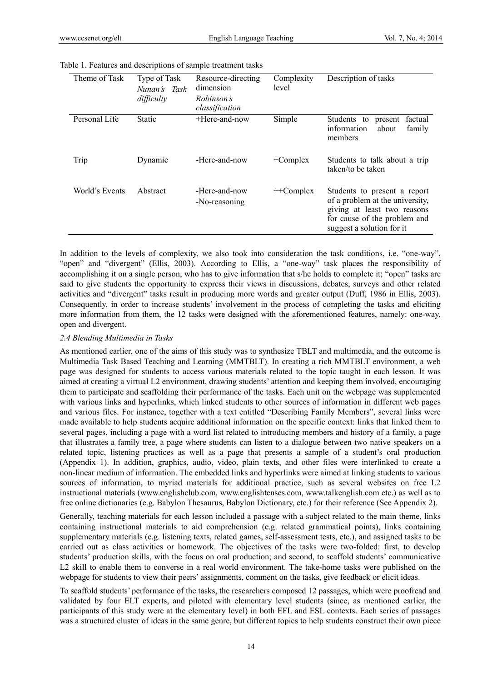| Theme of Task  | Type of Task<br>Nunan's Task<br>difficulty | Resource-directing<br>dimension<br>Robinson's<br>classification | Complexity<br>level | Description of tasks                                                                                                                                        |
|----------------|--------------------------------------------|-----------------------------------------------------------------|---------------------|-------------------------------------------------------------------------------------------------------------------------------------------------------------|
| Personal Life  | <b>Static</b>                              | $+$ Here-and-now                                                | Simple              | Students to present<br>factual<br>information<br>about<br>family<br>members                                                                                 |
| Trip           | Dynamic                                    | -Here-and-now                                                   | $+Complex$          | Students to talk about a trip<br>taken/to be taken                                                                                                          |
| World's Events | Abstract                                   | -Here-and-now<br>-No-reasoning                                  | $+$ -Complex        | Students to present a report<br>of a problem at the university,<br>giving at least two reasons<br>for cause of the problem and<br>suggest a solution for it |

|  |  | Table 1. Features and descriptions of sample treatment tasks |
|--|--|--------------------------------------------------------------|
|  |  |                                                              |

In addition to the levels of complexity, we also took into consideration the task conditions, i.e. "one-way" "open" and "divergent" (Ellis, 2003). According to Ellis, a "one-way" task places the responsibility of accomplishing it on a single person, who has to give information that s/he holds to complete it; "open" tasks are said to give students the opportunity to express their views in discussions, debates, surveys and other related activities and "divergent" tasks result in producing more words and greater output (Duff, 1986 in Ellis, 2003). Consequently, in order to increase students' involvement in the process of completing the tasks and eliciting more information from them, the 12 tasks were designed with the aforementioned features, namely: one-way, open and divergent.

#### *2.4 Blending Multimedia in Tasks*

As mentioned earlier, one of the aims of this study was to synthesize TBLT and multimedia, and the outcome is Multimedia Task Based Teaching and Learning (MMTBLT). In creating a rich MMTBLT environment, a web page was designed for students to access various materials related to the topic taught in each lesson. It was aimed at creating a virtual L2 environment, drawing students' attention and keeping them involved, encouraging them to participate and scaffolding their performance of the tasks. Each unit on the webpage was supplemented with various links and hyperlinks, which linked students to other sources of information in different web pages and various files. For instance, together with a text entitled "Describing Family Members", several links were made available to help students acquire additional information on the specific context: links that linked them to several pages, including a page with a word list related to introducing members and history of a family, a page that illustrates a family tree, a page where students can listen to a dialogue between two native speakers on a related topic, listening practices as well as a page that presents a sample of a student's oral production (Appendix 1). In addition, graphics, audio, video, plain texts, and other files were interlinked to create a non-linear medium of information. The embedded links and hyperlinks were aimed at linking students to various sources of information, to myriad materials for additional practice, such as several websites on free L2 instructional materials (www.englishclub.com, www.englishtenses.com, www.talkenglish.com etc.) as well as to free online dictionaries (e.g. Babylon Thesaurus, Babylon Dictionary, etc.) for their reference (See Appendix 2).

Generally, teaching materials for each lesson included a passage with a subject related to the main theme, links containing instructional materials to aid comprehension (e.g. related grammatical points), links containing supplementary materials (e.g. listening texts, related games, self-assessment tests, etc.), and assigned tasks to be carried out as class activities or homework. The objectives of the tasks were two-folded: first, to develop students' production skills, with the focus on oral production; and second, to scaffold students' communicative L2 skill to enable them to converse in a real world environment. The take-home tasks were published on the webpage for students to view their peers' assignments, comment on the tasks, give feedback or elicit ideas.

To scaffold students' performance of the tasks, the researchers composed 12 passages, which were proofread and validated by four ELT experts, and piloted with elementary level students (since, as mentioned earlier, the participants of this study were at the elementary level) in both EFL and ESL contexts. Each series of passages was a structured cluster of ideas in the same genre, but different topics to help students construct their own piece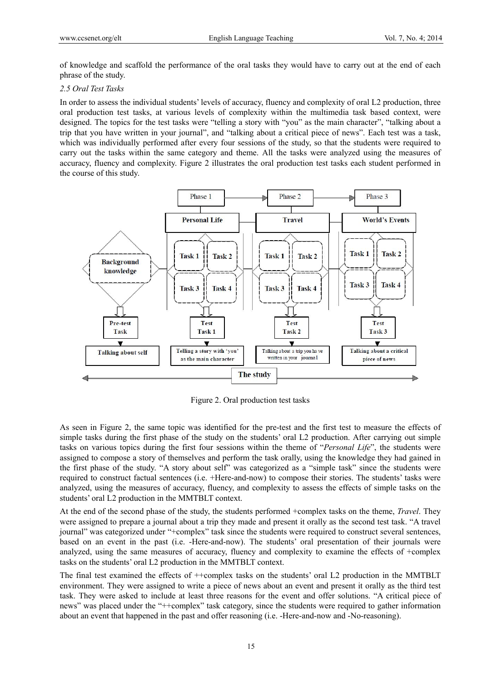of knowledge and scaffold the performance of the oral tasks they would have to carry out at the end of each phrase of the study.

# *2.5 Oral Test Tasks*

In order to assess the individual students' levels of accuracy, fluency and complexity of oral L2 production, three oral production test tasks, at various levels of complexity within the multimedia task based context, were designed. The topics for the test tasks were "telling a story with "you" as the main character", "talking about a trip that you have written in your journal", and "talking about a critical piece of news". Each test was a task, which was individually performed after every four sessions of the study, so that the students were required to carry out the tasks within the same category and theme. All the tasks were analyzed using the measures of accuracy, fluency and complexity. Figure 2 illustrates the oral production test tasks each student performed in the course of this study.



Figure 2. Oral production test tasks

As seen in Figure 2, the same topic was identified for the pre-test and the first test to measure the effects of simple tasks during the first phase of the study on the students' oral L2 production. After carrying out simple tasks on various topics during the first four sessions within the theme of "*Personal Life*", the students were assigned to compose a story of themselves and perform the task orally, using the knowledge they had gained in the first phase of the study. "A story about self" was categorized as a "simple task" since the students were required to construct factual sentences (i.e. +Here-and-now) to compose their stories. The students' tasks were analyzed, using the measures of accuracy, fluency, and complexity to assess the effects of simple tasks on the students' oral L2 production in the MMTBLT context.

At the end of the second phase of the study, the students performed +complex tasks on the theme, *Travel*. They were assigned to prepare a journal about a trip they made and present it orally as the second test task. "A travel journal" was categorized under "+complex" task since the students were required to construct several sentences, based on an event in the past (i.e. -Here-and-now). The students' oral presentation of their journals were analyzed, using the same measures of accuracy, fluency and complexity to examine the effects of +complex tasks on the students' oral L2 production in the MMTBLT context.

The final test examined the effects of ++complex tasks on the students' oral L2 production in the MMTBLT environment. They were assigned to write a piece of news about an event and present it orally as the third test task. They were asked to include at least three reasons for the event and offer solutions. "A critical piece of news" was placed under the "++complex" task category, since the students were required to gather information about an event that happened in the past and offer reasoning (i.e. -Here-and-now and -No-reasoning).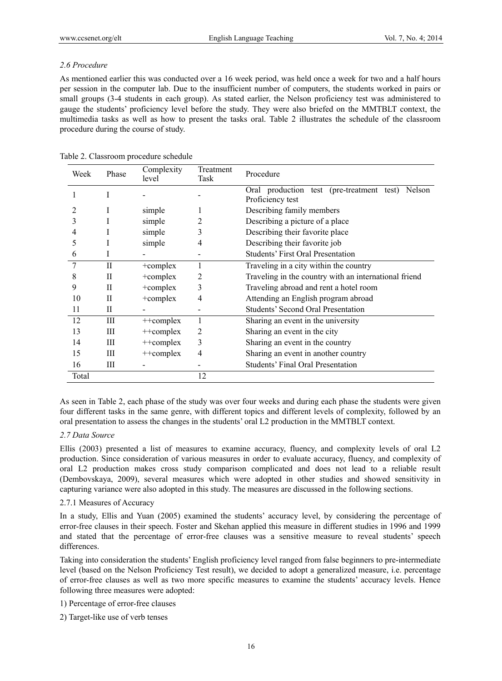# *2.6 Procedure*

As mentioned earlier this was conducted over a 16 week period, was held once a week for two and a half hours per session in the computer lab. Due to the insufficient number of computers, the students worked in pairs or small groups (3-4 students in each group). As stated earlier, the Nelson proficiency test was administered to gauge the students' proficiency level before the study. They were also briefed on the MMTBLT context, the multimedia tasks as well as how to present the tasks oral. Table 2 illustrates the schedule of the classroom procedure during the course of study.

| Week  | Phase | Complexity<br>level     | Treatment<br>Task | Procedure                                                               |  |  |  |  |
|-------|-------|-------------------------|-------------------|-------------------------------------------------------------------------|--|--|--|--|
|       | Ι     |                         |                   | Oral production test (pre-treatment test)<br>Nelson<br>Proficiency test |  |  |  |  |
| 2     | Ι     | simple                  |                   | Describing family members                                               |  |  |  |  |
| 3     |       | simple                  | 2                 | Describing a picture of a place                                         |  |  |  |  |
| 4     | Ι     | simple                  | 3                 | Describing their favorite place                                         |  |  |  |  |
| 5     | I     | simple                  | 4                 | Describing their favorite job                                           |  |  |  |  |
| 6     | Ι     |                         |                   | <b>Students' First Oral Presentation</b>                                |  |  |  |  |
| 7     | H     | +complex                |                   | Traveling in a city within the country                                  |  |  |  |  |
| 8     | П     | $+$ complex             | 2                 | Traveling in the country with an international friend                   |  |  |  |  |
| 9     | П     | +complex                | 3                 | Traveling abroad and rent a hotel room                                  |  |  |  |  |
| 10    | H     | +complex                | 4                 | Attending an English program abroad                                     |  |  |  |  |
| 11    | H     |                         |                   | Students' Second Oral Presentation                                      |  |  |  |  |
| 12    | Ш     | $+$ +complex            | 1                 | Sharing an event in the university                                      |  |  |  |  |
| 13    | Ш     | $+$ + $\epsilon$ omplex | 2                 | Sharing an event in the city                                            |  |  |  |  |
| 14    | Ш     | $+$ +complex            | 3                 | Sharing an event in the country                                         |  |  |  |  |
| 15    | Ш     | $+$ +complex            | 4                 | Sharing an event in another country                                     |  |  |  |  |
| 16    | Ш     |                         |                   | <b>Students' Final Oral Presentation</b>                                |  |  |  |  |
| Total |       |                         | 12                |                                                                         |  |  |  |  |

As seen in Table 2, each phase of the study was over four weeks and during each phase the students were given four different tasks in the same genre, with different topics and different levels of complexity, followed by an oral presentation to assess the changes in the students' oral L2 production in the MMTBLT context.

# *2.7 Data Source*

Ellis (2003) presented a list of measures to examine accuracy, fluency, and complexity levels of oral L2 production. Since consideration of various measures in order to evaluate accuracy, fluency, and complexity of oral L2 production makes cross study comparison complicated and does not lead to a reliable result (Dembovskaya, 2009), several measures which were adopted in other studies and showed sensitivity in capturing variance were also adopted in this study. The measures are discussed in the following sections.

# 2.7.1 Measures of Accuracy

In a study, Ellis and Yuan (2005) examined the students' accuracy level, by considering the percentage of error-free clauses in their speech. Foster and Skehan applied this measure in different studies in 1996 and 1999 and stated that the percentage of error-free clauses was a sensitive measure to reveal students' speech differences.

Taking into consideration the students' English proficiency level ranged from false beginners to pre-intermediate level (based on the Nelson Proficiency Test result), we decided to adopt a generalized measure, i.e. percentage of error-free clauses as well as two more specific measures to examine the students' accuracy levels. Hence following three measures were adopted:

# 1) Percentage of error-free clauses

2) Target-like use of verb tenses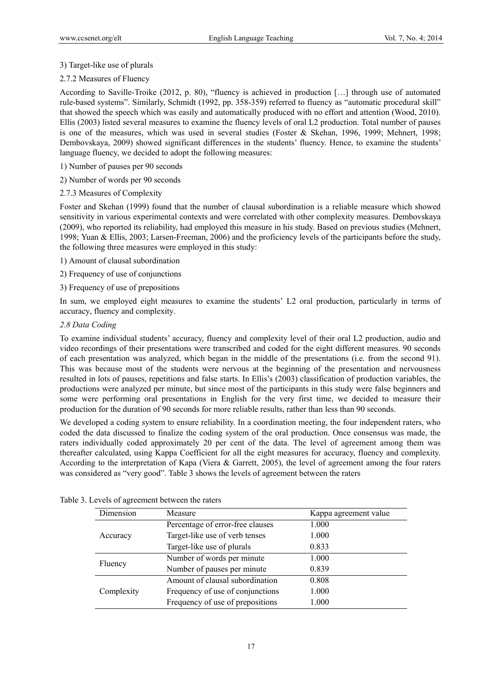# 3) Target-like use of plurals

# 2.7.2 Measures of Fluency

According to Saville-Troike (2012, p. 80), "fluency is achieved in production […] through use of automated rule-based systems". Similarly, Schmidt (1992, pp. 358-359) referred to fluency as "automatic procedural skill" that showed the speech which was easily and automatically produced with no effort and attention (Wood, 2010). Ellis (2003) listed several measures to examine the fluency levels of oral L2 production. Total number of pauses is one of the measures, which was used in several studies (Foster & Skehan, 1996, 1999; Mehnert, 1998; Dembovskaya, 2009) showed significant differences in the students' fluency. Hence, to examine the students' language fluency, we decided to adopt the following measures:

- 1) Number of pauses per 90 seconds
- 2) Number of words per 90 seconds
- 2.7.3 Measures of Complexity

Foster and Skehan (1999) found that the number of clausal subordination is a reliable measure which showed sensitivity in various experimental contexts and were correlated with other complexity measures. Dembovskaya (2009), who reported its reliability, had employed this measure in his study. Based on previous studies (Mehnert, 1998; Yuan & Ellis, 2003; Larsen-Freeman, 2006) and the proficiency levels of the participants before the study, the following three measures were employed in this study:

1) Amount of clausal subordination

- 2) Frequency of use of conjunctions
- 3) Frequency of use of prepositions

In sum, we employed eight measures to examine the students' L2 oral production, particularly in terms of accuracy, fluency and complexity.

# *2.8 Data Coding*

To examine individual students' accuracy, fluency and complexity level of their oral L2 production, audio and video recordings of their presentations were transcribed and coded for the eight different measures. 90 seconds of each presentation was analyzed, which began in the middle of the presentations (i.e. from the second 91). This was because most of the students were nervous at the beginning of the presentation and nervousness resulted in lots of pauses, repetitions and false starts. In Ellis's (2003) classification of production variables, the productions were analyzed per minute, but since most of the participants in this study were false beginners and some were performing oral presentations in English for the very first time, we decided to measure their production for the duration of 90 seconds for more reliable results, rather than less than 90 seconds.

We developed a coding system to ensure reliability. In a coordination meeting, the four independent raters, who coded the data discussed to finalize the coding system of the oral production. Once consensus was made, the raters individually coded approximately 20 per cent of the data. The level of agreement among them was thereafter calculated, using Kappa Coefficient for all the eight measures for accuracy, fluency and complexity. According to the interpretation of Kapa (Viera & Garrett, 2005), the level of agreement among the four raters was considered as "very good". Table 3 shows the levels of agreement between the raters

| Dimension  | Measure                          | Kappa agreement value |
|------------|----------------------------------|-----------------------|
|            | Percentage of error-free clauses | 1.000                 |
| Accuracy   | Target-like use of verb tenses   | 1.000                 |
|            | Target-like use of plurals       | 0.833                 |
| Fluency    | Number of words per minute       | 1.000                 |
|            | Number of pauses per minute      | 0.839                 |
|            | Amount of clausal subordination  | 0.808                 |
| Complexity | Frequency of use of conjunctions | 1.000                 |
|            | Frequency of use of prepositions | 1.000                 |

Table 3. Levels of agreement between the raters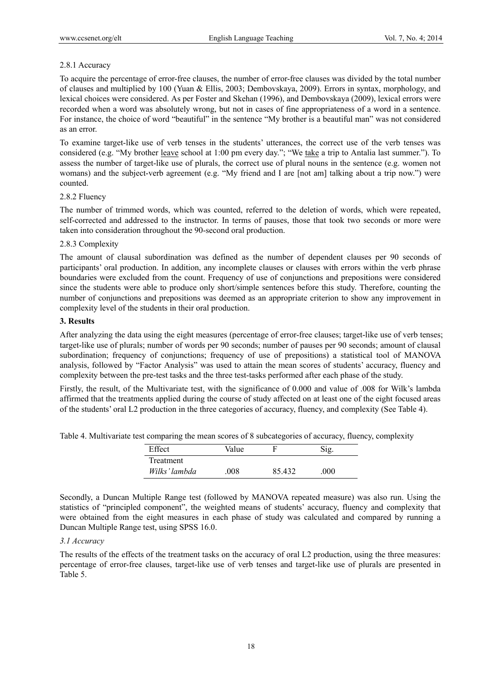# 2.8.1 Accuracy

To acquire the percentage of error-free clauses, the number of error-free clauses was divided by the total number of clauses and multiplied by 100 (Yuan & Ellis, 2003; Dembovskaya, 2009). Errors in syntax, morphology, and lexical choices were considered. As per Foster and Skehan (1996), and Dembovskaya (2009), lexical errors were recorded when a word was absolutely wrong, but not in cases of fine appropriateness of a word in a sentence. For instance, the choice of word "beautiful" in the sentence "My brother is a beautiful man" was not considered as an error.

To examine target-like use of verb tenses in the students' utterances, the correct use of the verb tenses was considered (e.g. "My brother leave school at 1:00 pm every day."; "We take a trip to Antalia last summer."). To assess the number of target-like use of plurals, the correct use of plural nouns in the sentence (e.g. women not womans) and the subject-verb agreement (e.g. "My friend and I are [not am] talking about a trip now.") were counted.

# 2.8.2 Fluency

The number of trimmed words, which was counted, referred to the deletion of words, which were repeated, self-corrected and addressed to the instructor. In terms of pauses, those that took two seconds or more were taken into consideration throughout the 90-second oral production.

# 2.8.3 Complexity

The amount of clausal subordination was defined as the number of dependent clauses per 90 seconds of participants' oral production. In addition, any incomplete clauses or clauses with errors within the verb phrase boundaries were excluded from the count. Frequency of use of conjunctions and prepositions were considered since the students were able to produce only short/simple sentences before this study. Therefore, counting the number of conjunctions and prepositions was deemed as an appropriate criterion to show any improvement in complexity level of the students in their oral production.

#### **3. Results**

After analyzing the data using the eight measures (percentage of error-free clauses; target-like use of verb tenses; target-like use of plurals; number of words per 90 seconds; number of pauses per 90 seconds; amount of clausal subordination; frequency of conjunctions; frequency of use of prepositions) a statistical tool of MANOVA analysis, followed by "Factor Analysis" was used to attain the mean scores of students' accuracy, fluency and complexity between the pre-test tasks and the three test-tasks performed after each phase of the study.

Firstly, the result, of the Multivariate test, with the significance of 0.000 and value of .008 for Wilk's lambda affirmed that the treatments applied during the course of study affected on at least one of the eight focused areas of the students' oral L2 production in the three categories of accuracy, fluency, and complexity (See Table 4).

Table 4. Multivariate test comparing the mean scores of 8 subcategories of accuracy, fluency, complexity

| Effect       | Value |        | Sig. |  |
|--------------|-------|--------|------|--|
| Treatment    |       |        |      |  |
| Wilks'lambda | .008  | 85.432 | .000 |  |

Secondly, a Duncan Multiple Range test (followed by MANOVA repeated measure) was also run. Using the statistics of "principled component", the weighted means of students' accuracy, fluency and complexity that were obtained from the eight measures in each phase of study was calculated and compared by running a Duncan Multiple Range test, using SPSS 16.0.

# *3.1 Accuracy*

The results of the effects of the treatment tasks on the accuracy of oral L2 production, using the three measures: percentage of error-free clauses, target-like use of verb tenses and target-like use of plurals are presented in Table 5.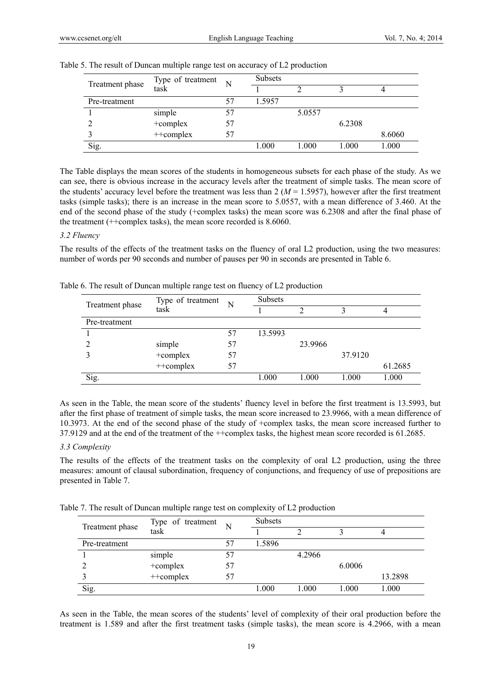| Treatment phase | Type of treatment | N  | Subsets |        |        |        |
|-----------------|-------------------|----|---------|--------|--------|--------|
|                 | task              |    |         |        |        |        |
| Pre-treatment   |                   | 57 | 1.5957  |        |        |        |
|                 | simple            | 57 |         | 5.0557 |        |        |
|                 | +complex          | 57 |         |        | 6.2308 |        |
|                 | $+$ +complex      | 57 |         |        |        | 8.6060 |
| Sig.            |                   |    | 1.000   | 1.000  | 1.000  | 1.000  |

|  | Table 5. The result of Duncan multiple range test on accuracy of L2 production |  |  |  |
|--|--------------------------------------------------------------------------------|--|--|--|
|  |                                                                                |  |  |  |

The Table displays the mean scores of the students in homogeneous subsets for each phase of the study. As we can see, there is obvious increase in the accuracy levels after the treatment of simple tasks. The mean score of the students' accuracy level before the treatment was less than  $2 (M = 1.5957)$ , however after the first treatment tasks (simple tasks); there is an increase in the mean score to 5.0557, with a mean difference of 3.460. At the end of the second phase of the study (+complex tasks) the mean score was 6.2308 and after the final phase of the treatment (++complex tasks), the mean score recorded is 8.6060.

#### *3.2 Fluency*

The results of the effects of the treatment tasks on the fluency of oral L2 production, using the two measures: number of words per 90 seconds and number of pauses per 90 in seconds are presented in Table 6.

| Treatment phase | Type of treatment<br>task | N  | <b>Subsets</b> |         |         |         |
|-----------------|---------------------------|----|----------------|---------|---------|---------|
|                 |                           |    |                |         |         |         |
| Pre-treatment   |                           |    |                |         |         |         |
|                 |                           | 57 | 13.5993        |         |         |         |
|                 | simple                    | 57 |                | 23.9966 |         |         |
|                 | +complex                  | 57 |                |         | 37.9120 |         |
|                 | $+$ +complex              | 57 |                |         |         | 61.2685 |
| Sig.            |                           |    | 1.000          | 1.000   | 1.000   | 1.000   |

Table 6. The result of Duncan multiple range test on fluency of L2 production

As seen in the Table, the mean score of the students' fluency level in before the first treatment is 13.5993, but after the first phase of treatment of simple tasks, the mean score increased to 23.9966, with a mean difference of 10.3973. At the end of the second phase of the study of +complex tasks, the mean score increased further to 37.9129 and at the end of the treatment of the ++complex tasks, the highest mean score recorded is 61.2685.

### *3.3 Complexity*

The results of the effects of the treatment tasks on the complexity of oral L2 production, using the three measures: amount of clausal subordination, frequency of conjunctions, and frequency of use of prepositions are presented in Table 7.

Table 7. The result of Duncan multiple range test on complexity of L2 production

| Treatment phase | Type of treatment | N  | Subsets |        |        |         |
|-----------------|-------------------|----|---------|--------|--------|---------|
|                 | task              |    |         |        |        |         |
| Pre-treatment   |                   | 57 | 1.5896  |        |        |         |
|                 | simple            | 57 |         | 4.2966 |        |         |
|                 | $+$ complex       | 57 |         |        | 6.0006 |         |
|                 | $+$ +complex      | 57 |         |        |        | 13.2898 |
| Sig.            |                   |    | 1.000   | 1.000  | 1.000  | 1.000   |

As seen in the Table, the mean scores of the students' level of complexity of their oral production before the treatment is 1.589 and after the first treatment tasks (simple tasks), the mean score is 4.2966, with a mean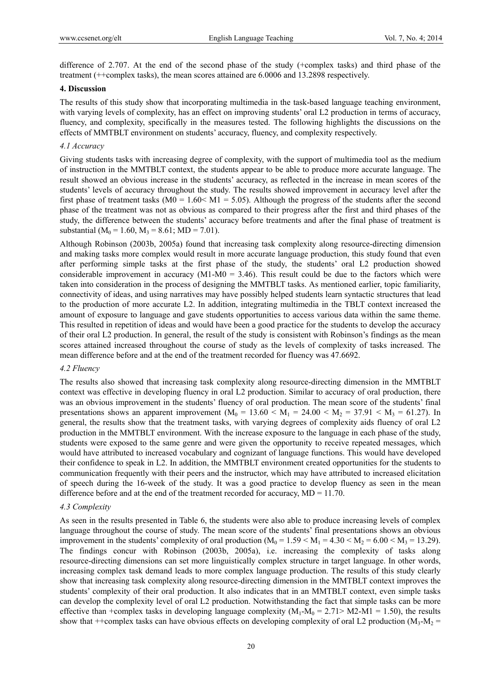difference of 2.707. At the end of the second phase of the study (+complex tasks) and third phase of the treatment (++complex tasks), the mean scores attained are 6.0006 and 13.2898 respectively.

#### **4. Discussion**

The results of this study show that incorporating multimedia in the task-based language teaching environment, with varying levels of complexity, has an effect on improving students' oral L2 production in terms of accuracy, fluency, and complexity, specifically in the measures tested. The following highlights the discussions on the effects of MMTBLT environment on students' accuracy, fluency, and complexity respectively.

#### *4.1 Accuracy*

Giving students tasks with increasing degree of complexity, with the support of multimedia tool as the medium of instruction in the MMTBLT context, the students appear to be able to produce more accurate language. The result showed an obvious increase in the students' accuracy, as reflected in the increase in mean scores of the students' levels of accuracy throughout the study. The results showed improvement in accuracy level after the first phase of treatment tasks ( $M0 = 1.60 < M1 = 5.05$ ). Although the progress of the students after the second phase of the treatment was not as obvious as compared to their progress after the first and third phases of the study, the difference between the students' accuracy before treatments and after the final phase of treatment is substantial ( $M_0 = 1.60$ ,  $M_3 = 8.61$ ; MD = 7.01).

Although Robinson (2003b, 2005a) found that increasing task complexity along resource-directing dimension and making tasks more complex would result in more accurate language production, this study found that even after performing simple tasks at the first phase of the study, the students' oral L2 production showed considerable improvement in accuracy  $(M1-M0 = 3.46)$ . This result could be due to the factors which were taken into consideration in the process of designing the MMTBLT tasks. As mentioned earlier, topic familiarity, connectivity of ideas, and using narratives may have possibly helped students learn syntactic structures that lead to the production of more accurate L2. In addition, integrating multimedia in the TBLT context increased the amount of exposure to language and gave students opportunities to access various data within the same theme. This resulted in repetition of ideas and would have been a good practice for the students to develop the accuracy of their oral L2 production. In general, the result of the study is consistent with Robinson's findings as the mean scores attained increased throughout the course of study as the levels of complexity of tasks increased. The mean difference before and at the end of the treatment recorded for fluency was 47.6692.

#### *4.2 Fluency*

The results also showed that increasing task complexity along resource-directing dimension in the MMTBLT context was effective in developing fluency in oral L2 production. Similar to accuracy of oral production, there was an obvious improvement in the students' fluency of oral production. The mean score of the students' final presentations shows an apparent improvement ( $M_0 = 13.60 < M_1 = 24.00 < M_2 = 37.91 < M_3 = 61.27$ ). In general, the results show that the treatment tasks, with varying degrees of complexity aids fluency of oral L2 production in the MMTBLT environment. With the increase exposure to the language in each phase of the study, students were exposed to the same genre and were given the opportunity to receive repeated messages, which would have attributed to increased vocabulary and cognizant of language functions. This would have developed their confidence to speak in L2. In addition, the MMTBLT environment created opportunities for the students to communication frequently with their peers and the instructor, which may have attributed to increased elicitation of speech during the 16-week of the study. It was a good practice to develop fluency as seen in the mean difference before and at the end of the treatment recorded for accuracy,  $MD = 11.70$ .

#### *4.3 Complexity*

As seen in the results presented in Table 6, the students were also able to produce increasing levels of complex language throughout the course of study. The mean score of the students' final presentations shows an obvious improvement in the students' complexity of oral production  $(M_0 = 1.59 < M_1 = 4.30 < M_2 = 6.00 < M_3 = 13.29)$ . The findings concur with Robinson (2003b, 2005a), i.e. increasing the complexity of tasks along resource-directing dimensions can set more linguistically complex structure in target language. In other words, increasing complex task demand leads to more complex language production. The results of this study clearly show that increasing task complexity along resource-directing dimension in the MMTBLT context improves the students' complexity of their oral production. It also indicates that in an MMTBLT context, even simple tasks can develop the complexity level of oral L2 production. Notwithstanding the fact that simple tasks can be more effective than +complex tasks in developing language complexity  $(M_1-M_0 = 2.71 > M_2-M_1 = 1.50)$ , the results show that ++complex tasks can have obvious effects on developing complexity of oral L2 production ( $M_3$ - $M_2$  =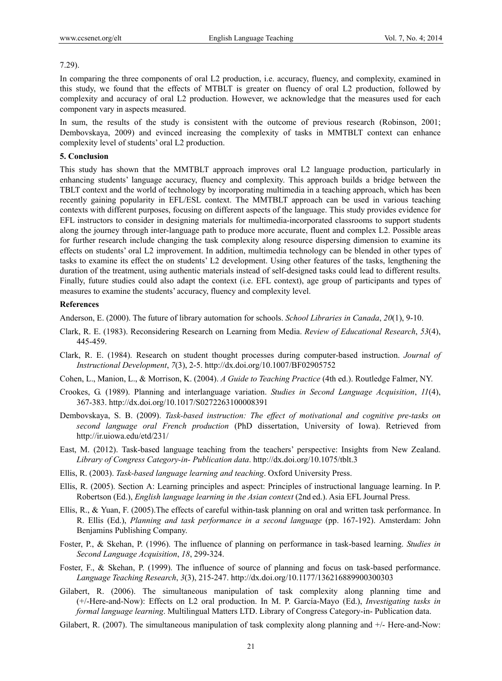#### 7.29).

In comparing the three components of oral L2 production, i.e. accuracy, fluency, and complexity, examined in this study, we found that the effects of MTBLT is greater on fluency of oral L2 production, followed by complexity and accuracy of oral L2 production. However, we acknowledge that the measures used for each component vary in aspects measured.

In sum, the results of the study is consistent with the outcome of previous research (Robinson, 2001; Dembovskaya, 2009) and evinced increasing the complexity of tasks in MMTBLT context can enhance complexity level of students' oral L2 production.

## **5. Conclusion**

This study has shown that the MMTBLT approach improves oral L2 language production, particularly in enhancing students' language accuracy, fluency and complexity. This approach builds a bridge between the TBLT context and the world of technology by incorporating multimedia in a teaching approach, which has been recently gaining popularity in EFL/ESL context. The MMTBLT approach can be used in various teaching contexts with different purposes, focusing on different aspects of the language. This study provides evidence for EFL instructors to consider in designing materials for multimedia-incorporated classrooms to support students along the journey through inter-language path to produce more accurate, fluent and complex L2. Possible areas for further research include changing the task complexity along resource dispersing dimension to examine its effects on students' oral L2 improvement. In addition, multimedia technology can be blended in other types of tasks to examine its effect the on students' L2 development. Using other features of the tasks, lengthening the duration of the treatment, using authentic materials instead of self-designed tasks could lead to different results. Finally, future studies could also adapt the context (i.e. EFL context), age group of participants and types of measures to examine the students' accuracy, fluency and complexity level.

#### **References**

Anderson, E. (2000). The future of library automation for schools. *School Libraries in Canada*, *20*(1), 9-10.

- Clark, R. E. (1983). Reconsidering Research on Learning from Media. *Review of Educational Research*, *53*(4), 445-459.
- Clark, R. E. (1984). Research on student thought processes during computer-based instruction. *Journal of Instructional Development*, *7*(3), 2-5. http://dx.doi.org/10.1007/BF02905752
- Cohen, L., Manion, L., & Morrison, K. (2004). *A Guide to Teaching Practice* (4th ed.). Routledge Falmer, NY.
- Crookes, G. (1989). Planning and interlanguage variation. *Studies in Second Language Acquisition*, *11*(4), 367-383. http://dx.doi.org/10.1017/S0272263100008391
- Dembovskaya, S. B. (2009). *Task-based instruction: The effect of motivational and cognitive pre-tasks on second language oral French production* (PhD dissertation, University of Iowa). Retrieved from http://ir.uiowa.edu/etd/231/
- East, M. (2012). Task-based language teaching from the teachers' perspective: Insights from New Zealand. *Library of Congress Category-in- Publication data*. http://dx.doi.org/10.1075/tblt.3
- Ellis, R. (2003). *Task-based language learning and teaching*. Oxford University Press.
- Ellis, R. (2005). Section A: Learning principles and aspect: Principles of instructional language learning. In P. Robertson (Ed.), *English language learning in the Asian context* (2nd ed.). Asia EFL Journal Press.
- Ellis, R., & Yuan, F. (2005).The effects of careful within-task planning on oral and written task performance. In R. Ellis (Ed.), *Planning and task performance in a second language* (pp. 167-192). Amsterdam: John Benjamins Publishing Company.
- Foster, P., & Skehan, P. (1996). The influence of planning on performance in task-based learning. *Studies in Second Language Acquisition*, *18*, 299-324.
- Foster, F., & Skehan, P. (1999). The influence of source of planning and focus on task-based performance. *Language Teaching Research*, *3*(3), 215-247. http://dx.doi.org/10.1177/136216889900300303
- Gilabert, R. (2006). The simultaneous manipulation of task complexity along planning time and (+/-Here-and-Now): Effects on L2 oral production. In M. P. García-Mayo (Ed.), *Investigating tasks in formal language learning*. Multilingual Matters LTD. Library of Congress Category-in- Publication data.
- Gilabert, R. (2007). The simultaneous manipulation of task complexity along planning and  $+/-$  Here-and-Now: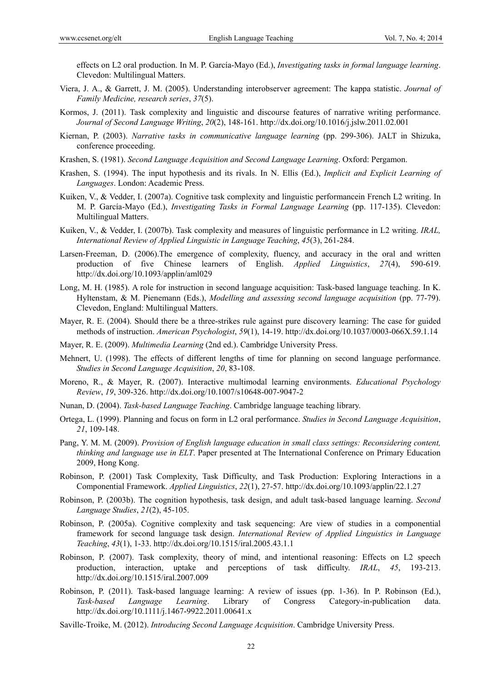effects on L2 oral production. In M. P. García-Mayo (Ed.), *Investigating tasks in formal language learning*. Clevedon: Multilingual Matters.

- Viera, J. A., & Garrett, J. M. (2005). Understanding interobserver agreement: The kappa statistic. *Journal of Family Medicine, research series*, *37*(5).
- Kormos, J. (2011). Task complexity and linguistic and discourse features of narrative writing performance. *Journal of Second Language Writing*, *20*(2), 148-161. http://dx.doi.org/10.1016/j.jslw.2011.02.001
- Kiernan, P. (2003). *Narrative tasks in communicative language learning* (pp. 299-306). JALT in Shizuka, conference proceeding.
- Krashen, S. (1981). *Second Language Acquisition and Second Language Learning*. Oxford: Pergamon.
- Krashen, S. (1994). The input hypothesis and its rivals. In N. Ellis (Ed.), *Implicit and Explicit Learning of Languages*. London: Academic Press.
- Kuiken, V., & Vedder, I. (2007a). Cognitive task complexity and linguistic performancein French L2 writing. In M. P. García-Mayo (Ed.), *Investigating Tasks in Formal Language Learning* (pp. 117-135). Clevedon: Multilingual Matters.
- Kuiken, V., & Vedder, I. (2007b). Task complexity and measures of linguistic performance in L2 writing. *IRAL, International Review of Applied Linguistic in Language Teaching*, *45*(3), 261-284.
- Larsen-Freeman, D. (2006).The emergence of complexity, fluency, and accuracy in the oral and written production of five Chinese learners of English. *Applied Linguistics*, *27*(4), 590-619. http://dx.doi.org/10.1093/applin/aml029
- Long, M. H. (1985). A role for instruction in second language acquisition: Task-based language teaching. In K. Hyltenstam, & M. Pienemann (Eds.), *Modelling and assessing second language acquisition* (pp. 77-79). Clevedon, England: Multilingual Matters.
- Mayer, R. E. (2004). Should there be a three-strikes rule against pure discovery learning: The case for guided methods of instruction. *American Psychologist*, *59*(1), 14-19. http://dx.doi.org/10.1037/0003-066X.59.1.14
- Mayer, R. E. (2009). *Multimedia Learning* (2nd ed.). Cambridge University Press.
- Mehnert, U. (1998). The effects of different lengths of time for planning on second language performance. *Studies in Second Language Acquisition*, *20*, 83-108.
- Moreno, R., & Mayer, R. (2007). Interactive multimodal learning environments. *Educational Psychology Review*, *19*, 309-326. http://dx.doi.org/10.1007/s10648-007-9047-2
- Nunan, D. (2004). *Task-based Language Teaching*. Cambridge language teaching library.
- Ortega, L. (1999). Planning and focus on form in L2 oral performance. *Studies in Second Language Acquisition*, *21*, 109-148.
- Pang, Y. M. M. (2009). *Provision of English language education in small class settings: Reconsidering content, thinking and language use in ELT*. Paper presented at The International Conference on Primary Education 2009, Hong Kong.
- Robinson, P. (2001) Task Complexity, Task Difficulty, and Task Production: Exploring Interactions in a Componential Framework. *Applied Linguistics*, *22*(1), 27-57. http://dx.doi.org/10.1093/applin/22.1.27
- Robinson, P. (2003b). The cognition hypothesis, task design, and adult task-based language learning. *Second Language Studies*, *21*(2), 45-105.
- Robinson, P. (2005a). Cognitive complexity and task sequencing: Are view of studies in a componential framework for second language task design. *International Review of Applied Linguistics in Language Teaching*, *43*(1), 1-33. http://dx.doi.org/10.1515/iral.2005.43.1.1
- Robinson, P. (2007). Task complexity, theory of mind, and intentional reasoning: Effects on L2 speech production, interaction, uptake and perceptions of task difficulty. *IRAL*, *45*, 193-213. http://dx.doi.org/10.1515/iral.2007.009
- Robinson, P. (2011). Task-based language learning: A review of issues (pp. 1-36). In P. Robinson (Ed.), *Task-based Language Learning*. Library of Congress Category-in-publication data. http://dx.doi.org/10.1111/j.1467-9922.2011.00641.x
- Saville-Troike, M. (2012). *Introducing Second Language Acquisition*. Cambridge University Press.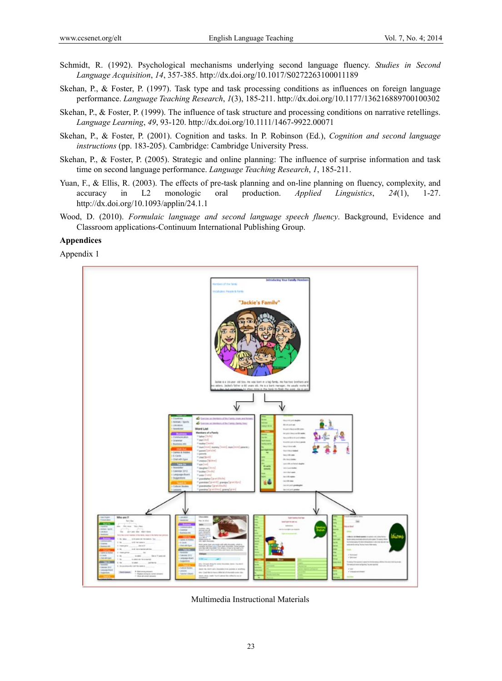- Schmidt, R. (1992). Psychological mechanisms underlying second language fluency. *Studies in Second Language Acquisition*, *14*, 357-385. http://dx.doi.org/10.1017/S0272263100011189
- Skehan, P., & Foster, P. (1997). Task type and task processing conditions as influences on foreign language performance. *Language Teaching Research*, *1*(3), 185-211. http://dx.doi.org/10.1177/136216889700100302
- Skehan, P., & Foster, P. (1999). The influence of task structure and processing conditions on narrative retellings. *Language Learning*, *49*, 93-120. http://dx.doi.org/10.1111/1467-9922.00071
- Skehan, P., & Foster, P. (2001). Cognition and tasks. In P. Robinson (Ed.), *Cognition and second language instructions* (pp. 183-205). Cambridge: Cambridge University Press.
- Skehan, P., & Foster, P. (2005). Strategic and online planning: The influence of surprise information and task time on second language performance. *Language Teaching Research*, *1*, 185-211.
- Yuan, F., & Ellis, R. (2003). The effects of pre-task planning and on-line planning on fluency, complexity, and accuracy in L2 monologic oral production. *Applied Linguistics*, *24*(1), 1-27. http://dx.doi.org/10.1093/applin/24.1.1
- Wood, D. (2010). *Formulaic language and second language speech fluency*. Background, Evidence and Classroom applications-Continuum International Publishing Group.

# **Appendices**

#### Appendix 1



Multimedia Instructional Materials